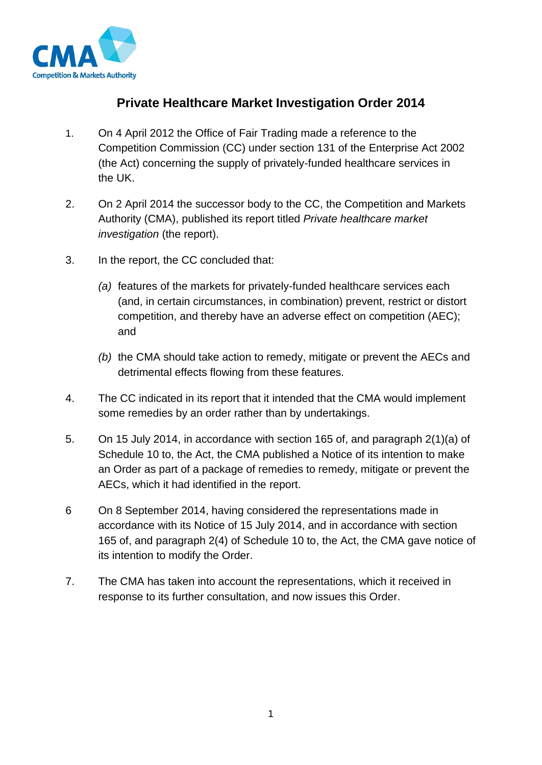

# **Private Healthcare Market Investigation Order 2014**

- 1. On 4 April 2012 the Office of Fair Trading made a reference to the Competition Commission (CC) under section 131 of the Enterprise Act 2002 (the Act) concerning the supply of privately-funded healthcare services in the UK.
- 2. On 2 April 2014 the successor body to the CC, the Competition and Markets Authority (CMA), published its report titled *Private healthcare market investigation* (the report).
- 3. In the report, the CC concluded that:
	- *(a)* features of the markets for privately-funded healthcare services each (and, in certain circumstances, in combination) prevent, restrict or distort competition, and thereby have an adverse effect on competition (AEC); and
	- *(b)* the CMA should take action to remedy, mitigate or prevent the AECs and detrimental effects flowing from these features.
- 4. The CC indicated in its report that it intended that the CMA would implement some remedies by an order rather than by undertakings.
- 5. On 15 July 2014, in accordance with section 165 of, and paragraph 2(1)(a) of Schedule 10 to, the Act, the CMA published a Notice of its intention to make an Order as part of a package of remedies to remedy, mitigate or prevent the AECs, which it had identified in the report.
- 6 On 8 September 2014, having considered the representations made in accordance with its Notice of 15 July 2014, and in accordance with section 165 of, and paragraph 2(4) of Schedule 10 to, the Act, the CMA gave notice of its intention to modify the Order.
- 7. The CMA has taken into account the representations, which it received in response to its further consultation, and now issues this Order.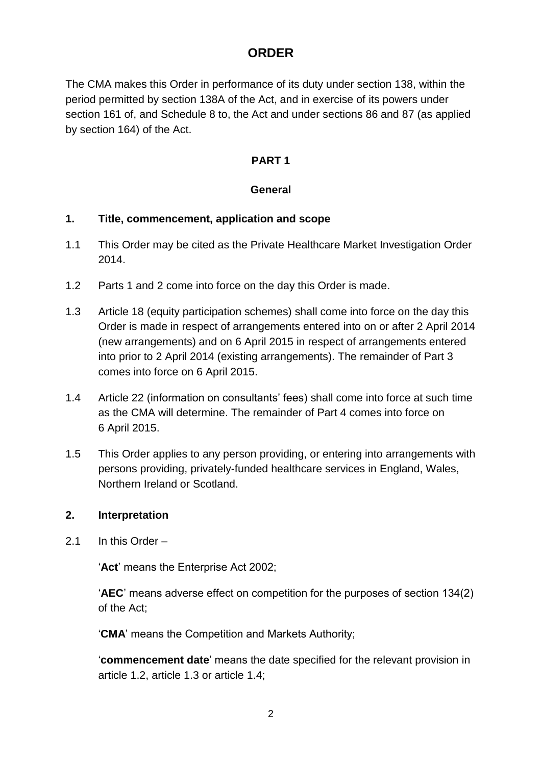# **ORDER**

The CMA makes this Order in performance of its duty under section 138, within the period permitted by section 138A of the Act, and in exercise of its powers under section 161 of, and Schedule 8 to, the Act and under sections 86 and 87 (as applied by section 164) of the Act.

# **PART 1**

# **General**

# **1. Title, commencement, application and scope**

- 1.1 This Order may be cited as the Private Healthcare Market Investigation Order 2014.
- 1.2 Parts 1 and 2 come into force on the day this Order is made.
- 1.3 Article 18 (equity participation schemes) shall come into force on the day this Order is made in respect of arrangements entered into on or after 2 April 2014 (new arrangements) and on 6 April 2015 in respect of arrangements entered into prior to 2 April 2014 (existing arrangements). The remainder of Part 3 comes into force on 6 April 2015.
- 1.4 Article 22 (information on consultants' fees) shall come into force at such time as the CMA will determine. The remainder of Part 4 comes into force on 6 April 2015.
- 1.5 This Order applies to any person providing, or entering into arrangements with persons providing, privately-funded healthcare services in England, Wales, Northern Ireland or Scotland.

# **2. Interpretation**

2.1 In this Order –

'**Act**' means the Enterprise Act 2002;

'**AEC**' means adverse effect on competition for the purposes of section 134(2) of the Act;

'**CMA**' means the Competition and Markets Authority;

'**commencement date**' means the date specified for the relevant provision in article 1.2, article 1.3 or article 1.4;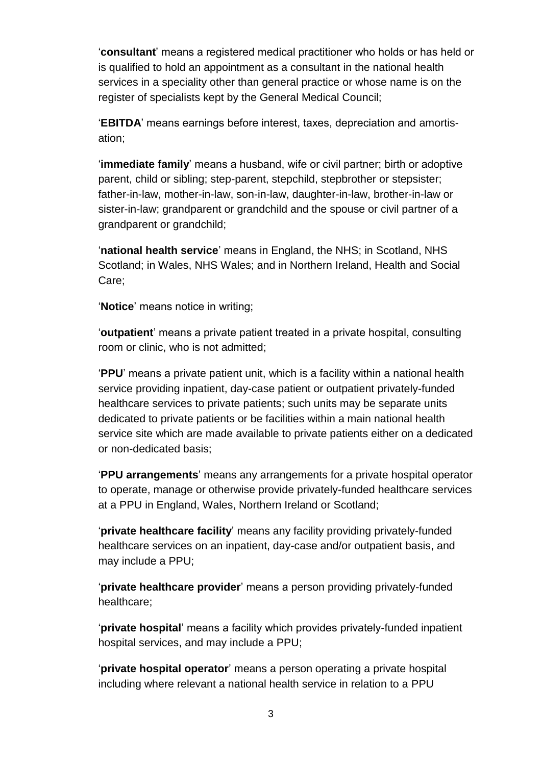'**consultant**' means a registered medical practitioner who holds or has held or is qualified to hold an appointment as a consultant in the national health services in a speciality other than general practice or whose name is on the register of specialists kept by the General Medical Council;

'**EBITDA**' means earnings before interest, taxes, depreciation and amortisation;

'**immediate family**' means a husband, wife or civil partner; birth or adoptive parent, child or sibling; step-parent, stepchild, stepbrother or stepsister; father-in-law, mother-in-law, son-in-law, daughter-in-law, brother-in-law or sister-in-law; grandparent or grandchild and the spouse or civil partner of a grandparent or grandchild;

'**national health service**' means in England, the NHS; in Scotland, NHS Scotland; in Wales, NHS Wales; and in Northern Ireland, Health and Social Care;

'**Notice**' means notice in writing;

'**outpatient**' means a private patient treated in a private hospital, consulting room or clinic, who is not admitted;

'**PPU**' means a private patient unit, which is a facility within a national health service providing inpatient, day-case patient or outpatient privately-funded healthcare services to private patients; such units may be separate units dedicated to private patients or be facilities within a main national health service site which are made available to private patients either on a dedicated or non-dedicated basis;

'**PPU arrangements**' means any arrangements for a private hospital operator to operate, manage or otherwise provide privately-funded healthcare services at a PPU in England, Wales, Northern Ireland or Scotland;

'**private healthcare facility**' means any facility providing privately-funded healthcare services on an inpatient, day-case and/or outpatient basis, and may include a PPU;

'**private healthcare provider**' means a person providing privately-funded healthcare;

'**private hospital**' means a facility which provides privately-funded inpatient hospital services, and may include a PPU;

'**private hospital operator**' means a person operating a private hospital including where relevant a national health service in relation to a PPU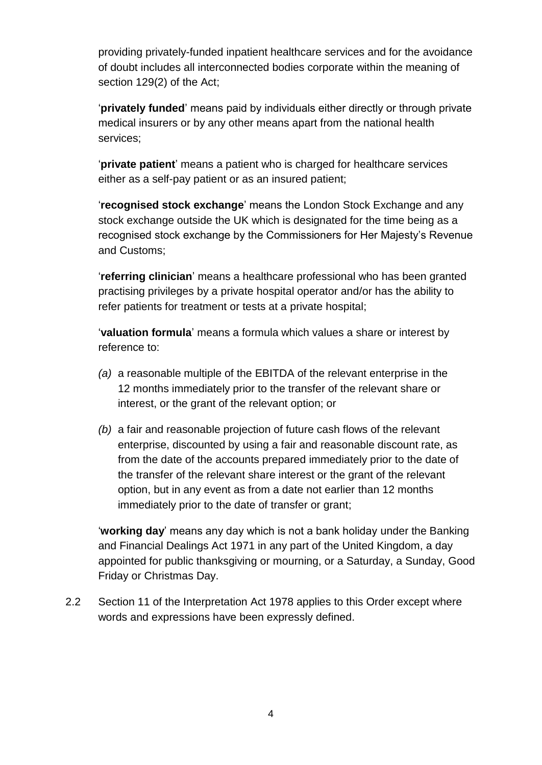providing privately-funded inpatient healthcare services and for the avoidance of doubt includes all interconnected bodies corporate within the meaning of section 129(2) of the Act;

'**privately funded**' means paid by individuals either directly or through private medical insurers or by any other means apart from the national health services;

'**private patient**' means a patient who is charged for healthcare services either as a self-pay patient or as an insured patient;

'**recognised stock exchange**' means the London Stock Exchange and any stock exchange outside the UK which is designated for the time being as a recognised stock exchange by the Commissioners for Her Majesty's Revenue and Customs;

'**referring clinician**' means a healthcare professional who has been granted practising privileges by a private hospital operator and/or has the ability to refer patients for treatment or tests at a private hospital;

'**valuation formula**' means a formula which values a share or interest by reference to:

- *(a)* a reasonable multiple of the EBITDA of the relevant enterprise in the 12 months immediately prior to the transfer of the relevant share or interest, or the grant of the relevant option; or
- *(b)* a fair and reasonable projection of future cash flows of the relevant enterprise, discounted by using a fair and reasonable discount rate, as from the date of the accounts prepared immediately prior to the date of the transfer of the relevant share interest or the grant of the relevant option, but in any event as from a date not earlier than 12 months immediately prior to the date of transfer or grant;

'**working day**' means any day which is not a bank holiday under the Banking and Financial Dealings Act 1971 in any part of the United Kingdom, a day appointed for public thanksgiving or mourning, or a Saturday, a Sunday, Good Friday or Christmas Day.

2.2 Section 11 of the Interpretation Act 1978 applies to this Order except where words and expressions have been expressly defined.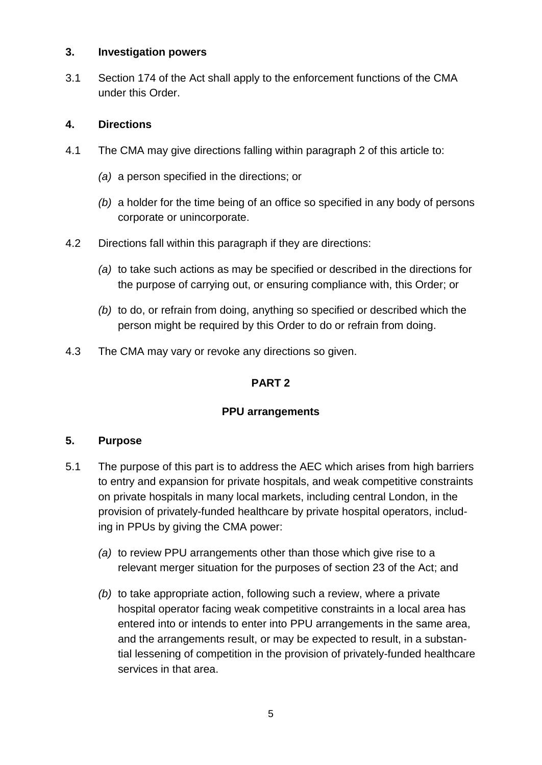### **3. Investigation powers**

3.1 Section 174 of the Act shall apply to the enforcement functions of the CMA under this Order.

# **4. Directions**

- 4.1 The CMA may give directions falling within paragraph 2 of this article to:
	- *(a)* a person specified in the directions; or
	- *(b)* a holder for the time being of an office so specified in any body of persons corporate or unincorporate.
- 4.2 Directions fall within this paragraph if they are directions:
	- *(a)* to take such actions as may be specified or described in the directions for the purpose of carrying out, or ensuring compliance with, this Order; or
	- *(b)* to do, or refrain from doing, anything so specified or described which the person might be required by this Order to do or refrain from doing.
- 4.3 The CMA may vary or revoke any directions so given.

# **PART 2**

# **PPU arrangements**

# **5. Purpose**

- 5.1 The purpose of this part is to address the AEC which arises from high barriers to entry and expansion for private hospitals, and weak competitive constraints on private hospitals in many local markets, including central London, in the provision of privately-funded healthcare by private hospital operators, including in PPUs by giving the CMA power:
	- *(a)* to review PPU arrangements other than those which give rise to a relevant merger situation for the purposes of section 23 of the Act; and
	- *(b)* to take appropriate action, following such a review, where a private hospital operator facing weak competitive constraints in a local area has entered into or intends to enter into PPU arrangements in the same area, and the arrangements result, or may be expected to result, in a substantial lessening of competition in the provision of privately-funded healthcare services in that area.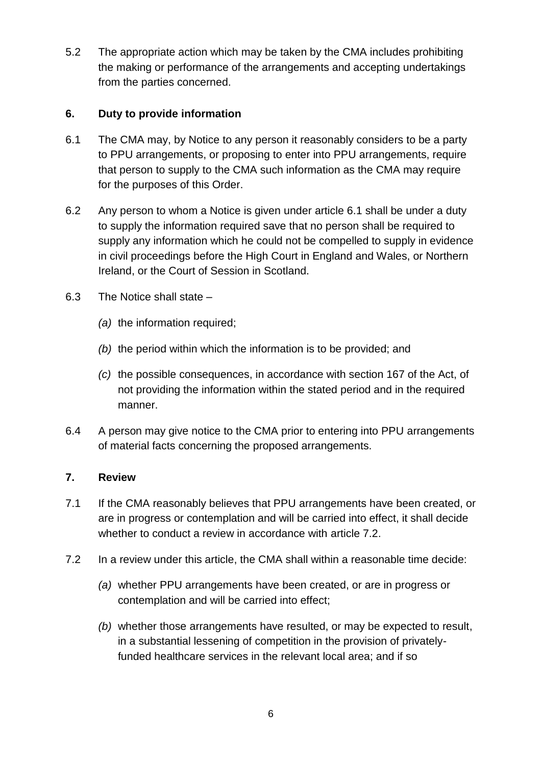5.2 The appropriate action which may be taken by the CMA includes prohibiting the making or performance of the arrangements and accepting undertakings from the parties concerned.

# **6. Duty to provide information**

- 6.1 The CMA may, by Notice to any person it reasonably considers to be a party to PPU arrangements, or proposing to enter into PPU arrangements, require that person to supply to the CMA such information as the CMA may require for the purposes of this Order.
- 6.2 Any person to whom a Notice is given under article 6.1 shall be under a duty to supply the information required save that no person shall be required to supply any information which he could not be compelled to supply in evidence in civil proceedings before the High Court in England and Wales, or Northern Ireland, or the Court of Session in Scotland.
- 6.3 The Notice shall state
	- *(a)* the information required;
	- *(b)* the period within which the information is to be provided; and
	- *(c)* the possible consequences, in accordance with section 167 of the Act, of not providing the information within the stated period and in the required manner.
- 6.4 A person may give notice to the CMA prior to entering into PPU arrangements of material facts concerning the proposed arrangements.

# **7. Review**

- 7.1 If the CMA reasonably believes that PPU arrangements have been created, or are in progress or contemplation and will be carried into effect, it shall decide whether to conduct a review in accordance with article 7.2.
- 7.2 In a review under this article, the CMA shall within a reasonable time decide:
	- *(a)* whether PPU arrangements have been created, or are in progress or contemplation and will be carried into effect;
	- *(b)* whether those arrangements have resulted, or may be expected to result, in a substantial lessening of competition in the provision of privatelyfunded healthcare services in the relevant local area; and if so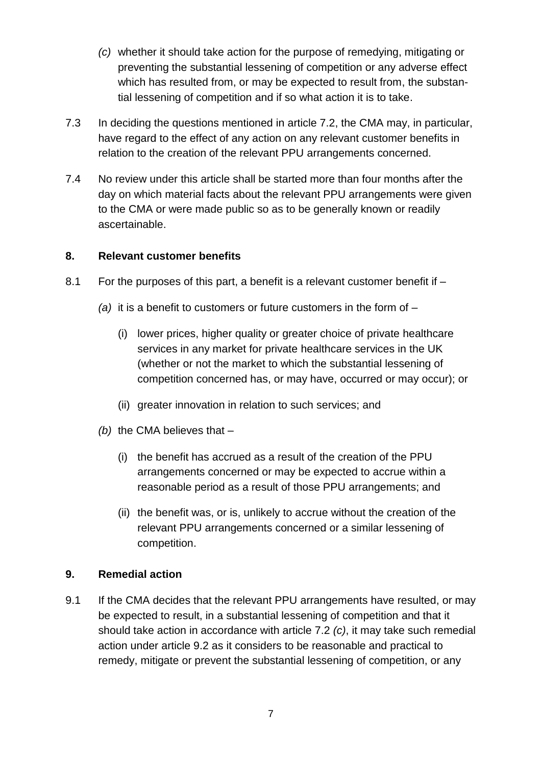- *(c)* whether it should take action for the purpose of remedying, mitigating or preventing the substantial lessening of competition or any adverse effect which has resulted from, or may be expected to result from, the substantial lessening of competition and if so what action it is to take.
- 7.3 In deciding the questions mentioned in article 7.2, the CMA may, in particular, have regard to the effect of any action on any relevant customer benefits in relation to the creation of the relevant PPU arrangements concerned.
- 7.4 No review under this article shall be started more than four months after the day on which material facts about the relevant PPU arrangements were given to the CMA or were made public so as to be generally known or readily ascertainable.

### **8. Relevant customer benefits**

- 8.1 For the purposes of this part, a benefit is a relevant customer benefit if
	- *(a)* it is a benefit to customers or future customers in the form of
		- (i) lower prices, higher quality or greater choice of private healthcare services in any market for private healthcare services in the UK (whether or not the market to which the substantial lessening of competition concerned has, or may have, occurred or may occur); or
		- (ii) greater innovation in relation to such services; and
	- *(b)* the CMA believes that
		- (i) the benefit has accrued as a result of the creation of the PPU arrangements concerned or may be expected to accrue within a reasonable period as a result of those PPU arrangements; and
		- (ii) the benefit was, or is, unlikely to accrue without the creation of the relevant PPU arrangements concerned or a similar lessening of competition.

### **9. Remedial action**

9.1 If the CMA decides that the relevant PPU arrangements have resulted, or may be expected to result, in a substantial lessening of competition and that it should take action in accordance with article 7.2 *(c)*, it may take such remedial action under article 9.2 as it considers to be reasonable and practical to remedy, mitigate or prevent the substantial lessening of competition, or any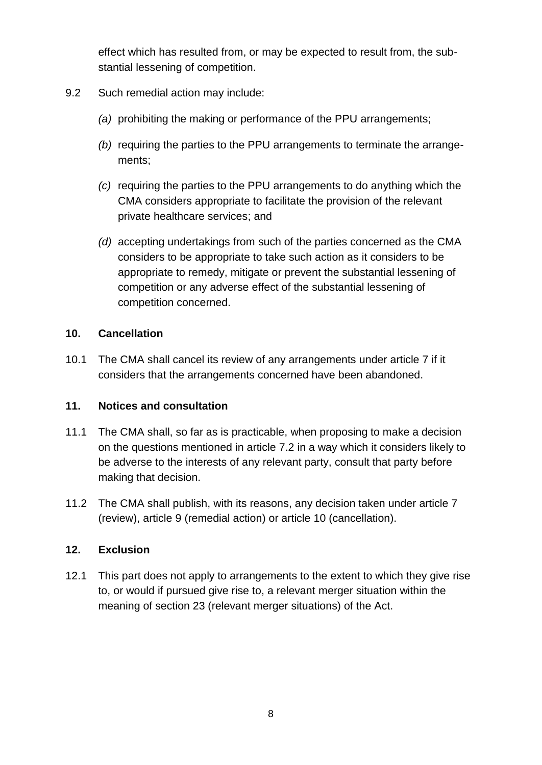effect which has resulted from, or may be expected to result from, the substantial lessening of competition.

- 9.2 Such remedial action may include:
	- *(a)* prohibiting the making or performance of the PPU arrangements;
	- *(b)* requiring the parties to the PPU arrangements to terminate the arrangements;
	- *(c)* requiring the parties to the PPU arrangements to do anything which the CMA considers appropriate to facilitate the provision of the relevant private healthcare services; and
	- *(d)* accepting undertakings from such of the parties concerned as the CMA considers to be appropriate to take such action as it considers to be appropriate to remedy, mitigate or prevent the substantial lessening of competition or any adverse effect of the substantial lessening of competition concerned.

### **10. Cancellation**

10.1 The CMA shall cancel its review of any arrangements under article 7 if it considers that the arrangements concerned have been abandoned.

### **11. Notices and consultation**

- 11.1 The CMA shall, so far as is practicable, when proposing to make a decision on the questions mentioned in article 7.2 in a way which it considers likely to be adverse to the interests of any relevant party, consult that party before making that decision.
- 11.2 The CMA shall publish, with its reasons, any decision taken under article 7 (review), article 9 (remedial action) or article 10 (cancellation).

### **12. Exclusion**

12.1 This part does not apply to arrangements to the extent to which they give rise to, or would if pursued give rise to, a relevant merger situation within the meaning of section 23 (relevant merger situations) of the Act.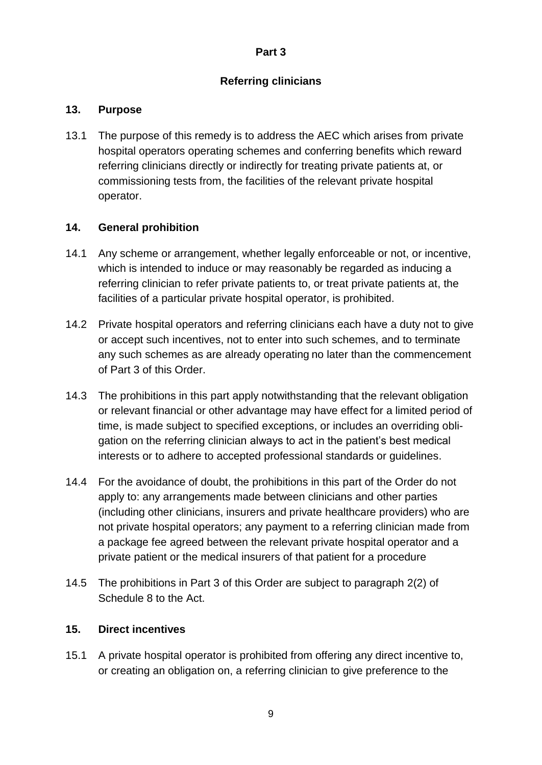# **Referring clinicians**

# **13. Purpose**

13.1 The purpose of this remedy is to address the AEC which arises from private hospital operators operating schemes and conferring benefits which reward referring clinicians directly or indirectly for treating private patients at, or commissioning tests from, the facilities of the relevant private hospital operator.

# **14. General prohibition**

- 14.1 Any scheme or arrangement, whether legally enforceable or not, or incentive, which is intended to induce or may reasonably be regarded as inducing a referring clinician to refer private patients to, or treat private patients at, the facilities of a particular private hospital operator, is prohibited.
- 14.2 Private hospital operators and referring clinicians each have a duty not to give or accept such incentives, not to enter into such schemes, and to terminate any such schemes as are already operating no later than the commencement of Part 3 of this Order.
- 14.3 The prohibitions in this part apply notwithstanding that the relevant obligation or relevant financial or other advantage may have effect for a limited period of time, is made subject to specified exceptions, or includes an overriding obligation on the referring clinician always to act in the patient's best medical interests or to adhere to accepted professional standards or guidelines.
- 14.4 For the avoidance of doubt, the prohibitions in this part of the Order do not apply to: any arrangements made between clinicians and other parties (including other clinicians, insurers and private healthcare providers) who are not private hospital operators; any payment to a referring clinician made from a package fee agreed between the relevant private hospital operator and a private patient or the medical insurers of that patient for a procedure
- 14.5 The prohibitions in Part 3 of this Order are subject to paragraph 2(2) of Schedule 8 to the Act.

# **15. Direct incentives**

15.1 A private hospital operator is prohibited from offering any direct incentive to, or creating an obligation on, a referring clinician to give preference to the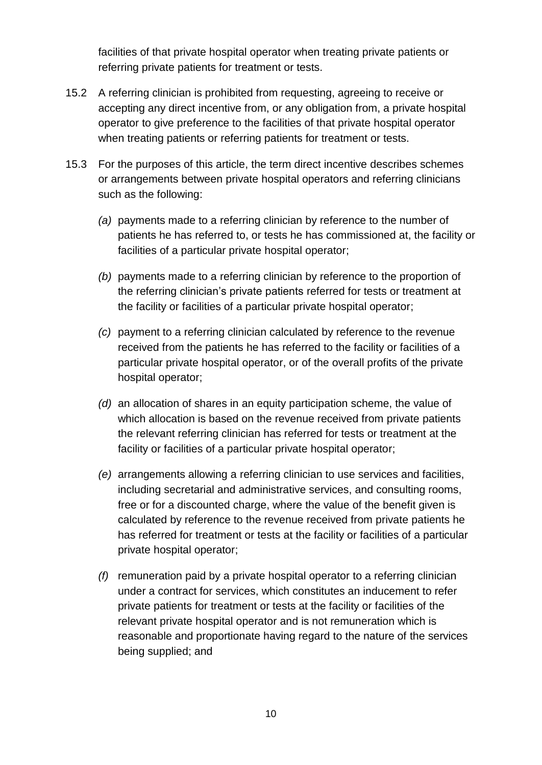facilities of that private hospital operator when treating private patients or referring private patients for treatment or tests.

- 15.2 A referring clinician is prohibited from requesting, agreeing to receive or accepting any direct incentive from, or any obligation from, a private hospital operator to give preference to the facilities of that private hospital operator when treating patients or referring patients for treatment or tests.
- 15.3 For the purposes of this article, the term direct incentive describes schemes or arrangements between private hospital operators and referring clinicians such as the following:
	- *(a)* payments made to a referring clinician by reference to the number of patients he has referred to, or tests he has commissioned at, the facility or facilities of a particular private hospital operator;
	- *(b)* payments made to a referring clinician by reference to the proportion of the referring clinician's private patients referred for tests or treatment at the facility or facilities of a particular private hospital operator;
	- *(c)* payment to a referring clinician calculated by reference to the revenue received from the patients he has referred to the facility or facilities of a particular private hospital operator, or of the overall profits of the private hospital operator;
	- *(d)* an allocation of shares in an equity participation scheme, the value of which allocation is based on the revenue received from private patients the relevant referring clinician has referred for tests or treatment at the facility or facilities of a particular private hospital operator;
	- *(e)* arrangements allowing a referring clinician to use services and facilities, including secretarial and administrative services, and consulting rooms, free or for a discounted charge, where the value of the benefit given is calculated by reference to the revenue received from private patients he has referred for treatment or tests at the facility or facilities of a particular private hospital operator;
	- *(f)* remuneration paid by a private hospital operator to a referring clinician under a contract for services, which constitutes an inducement to refer private patients for treatment or tests at the facility or facilities of the relevant private hospital operator and is not remuneration which is reasonable and proportionate having regard to the nature of the services being supplied; and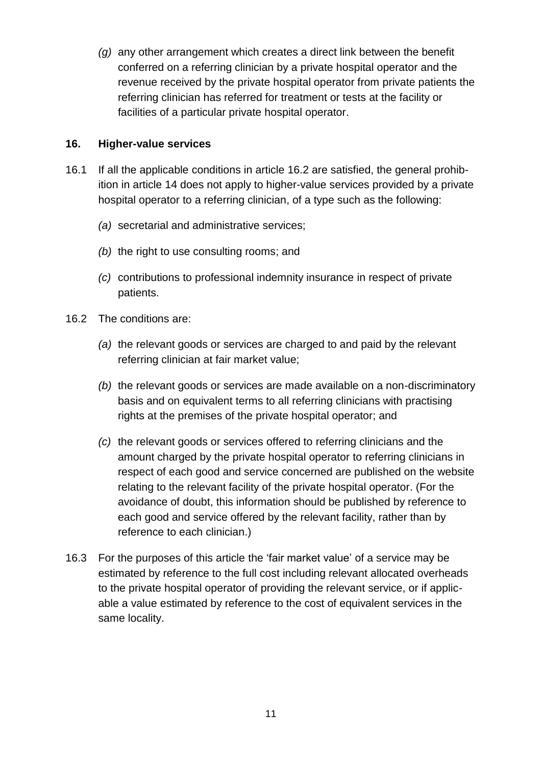*(g)* any other arrangement which creates a direct link between the benefit conferred on a referring clinician by a private hospital operator and the revenue received by the private hospital operator from private patients the referring clinician has referred for treatment or tests at the facility or facilities of a particular private hospital operator.

### **16. Higher-value services**

- 16.1 If all the applicable conditions in article 16.2 are satisfied, the general prohibition in article 14 does not apply to higher-value services provided by a private hospital operator to a referring clinician, of a type such as the following:
	- *(a)* secretarial and administrative services;
	- *(b)* the right to use consulting rooms; and
	- *(c)* contributions to professional indemnity insurance in respect of private patients.
- 16.2 The conditions are:
	- *(a)* the relevant goods or services are charged to and paid by the relevant referring clinician at fair market value;
	- *(b)* the relevant goods or services are made available on a non-discriminatory basis and on equivalent terms to all referring clinicians with practising rights at the premises of the private hospital operator; and
	- *(c)* the relevant goods or services offered to referring clinicians and the amount charged by the private hospital operator to referring clinicians in respect of each good and service concerned are published on the website relating to the relevant facility of the private hospital operator. (For the avoidance of doubt, this information should be published by reference to each good and service offered by the relevant facility, rather than by reference to each clinician.)
- 16.3 For the purposes of this article the 'fair market value' of a service may be estimated by reference to the full cost including relevant allocated overheads to the private hospital operator of providing the relevant service, or if applicable a value estimated by reference to the cost of equivalent services in the same locality.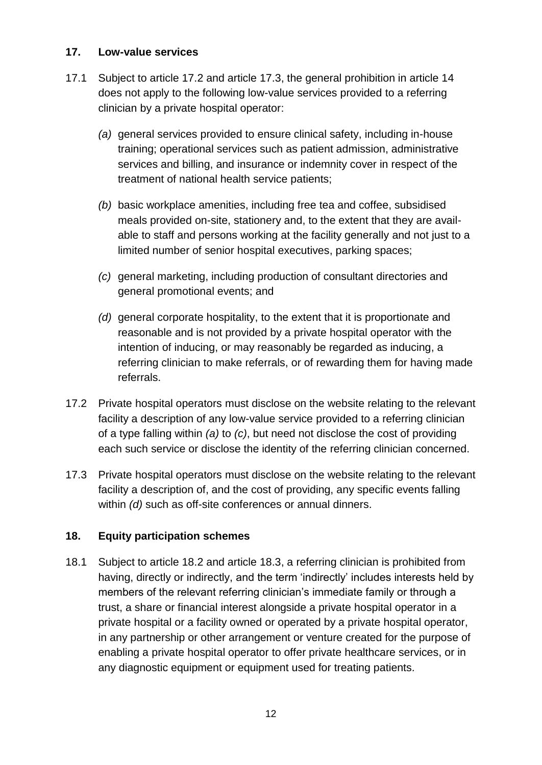### **17. Low-value services**

- 17.1 Subject to article 17.2 and article 17.3, the general prohibition in article 14 does not apply to the following low-value services provided to a referring clinician by a private hospital operator:
	- *(a)* general services provided to ensure clinical safety, including in-house training; operational services such as patient admission, administrative services and billing, and insurance or indemnity cover in respect of the treatment of national health service patients;
	- *(b)* basic workplace amenities, including free tea and coffee, subsidised meals provided on-site, stationery and, to the extent that they are available to staff and persons working at the facility generally and not just to a limited number of senior hospital executives, parking spaces;
	- *(c)* general marketing, including production of consultant directories and general promotional events; and
	- *(d)* general corporate hospitality, to the extent that it is proportionate and reasonable and is not provided by a private hospital operator with the intention of inducing, or may reasonably be regarded as inducing, a referring clinician to make referrals, or of rewarding them for having made referrals.
- 17.2 Private hospital operators must disclose on the website relating to the relevant facility a description of any low-value service provided to a referring clinician of a type falling within *(a)* to *(c)*, but need not disclose the cost of providing each such service or disclose the identity of the referring clinician concerned.
- 17.3 Private hospital operators must disclose on the website relating to the relevant facility a description of, and the cost of providing, any specific events falling within *(d)* such as off-site conferences or annual dinners.

# **18. Equity participation schemes**

18.1 Subject to article 18.2 and article 18.3, a referring clinician is prohibited from having, directly or indirectly, and the term 'indirectly' includes interests held by members of the relevant referring clinician's immediate family or through a trust, a share or financial interest alongside a private hospital operator in a private hospital or a facility owned or operated by a private hospital operator, in any partnership or other arrangement or venture created for the purpose of enabling a private hospital operator to offer private healthcare services, or in any diagnostic equipment or equipment used for treating patients.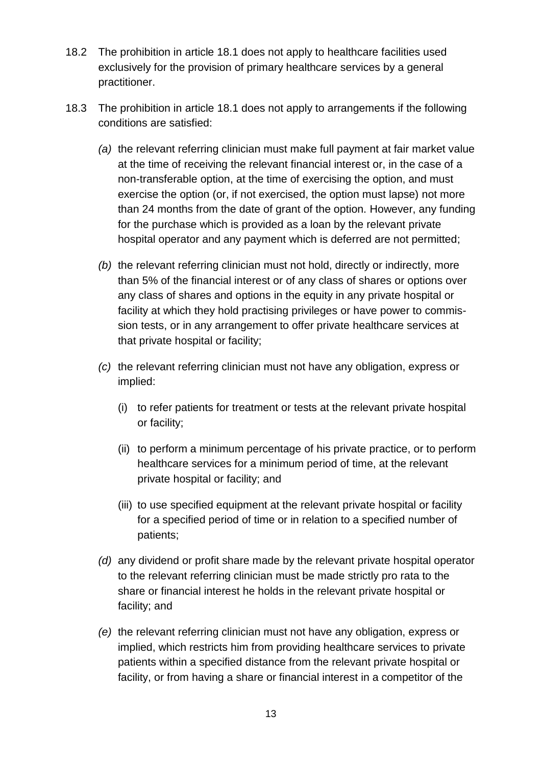- 18.2 The prohibition in article 18.1 does not apply to healthcare facilities used exclusively for the provision of primary healthcare services by a general practitioner.
- 18.3 The prohibition in article 18.1 does not apply to arrangements if the following conditions are satisfied:
	- *(a)* the relevant referring clinician must make full payment at fair market value at the time of receiving the relevant financial interest or, in the case of a non-transferable option, at the time of exercising the option, and must exercise the option (or, if not exercised, the option must lapse) not more than 24 months from the date of grant of the option. However, any funding for the purchase which is provided as a loan by the relevant private hospital operator and any payment which is deferred are not permitted;
	- *(b)* the relevant referring clinician must not hold, directly or indirectly, more than 5% of the financial interest or of any class of shares or options over any class of shares and options in the equity in any private hospital or facility at which they hold practising privileges or have power to commission tests, or in any arrangement to offer private healthcare services at that private hospital or facility;
	- *(c)* the relevant referring clinician must not have any obligation, express or implied:
		- (i) to refer patients for treatment or tests at the relevant private hospital or facility;
		- (ii) to perform a minimum percentage of his private practice, or to perform healthcare services for a minimum period of time, at the relevant private hospital or facility; and
		- (iii) to use specified equipment at the relevant private hospital or facility for a specified period of time or in relation to a specified number of patients;
	- *(d)* any dividend or profit share made by the relevant private hospital operator to the relevant referring clinician must be made strictly pro rata to the share or financial interest he holds in the relevant private hospital or facility; and
	- *(e)* the relevant referring clinician must not have any obligation, express or implied, which restricts him from providing healthcare services to private patients within a specified distance from the relevant private hospital or facility, or from having a share or financial interest in a competitor of the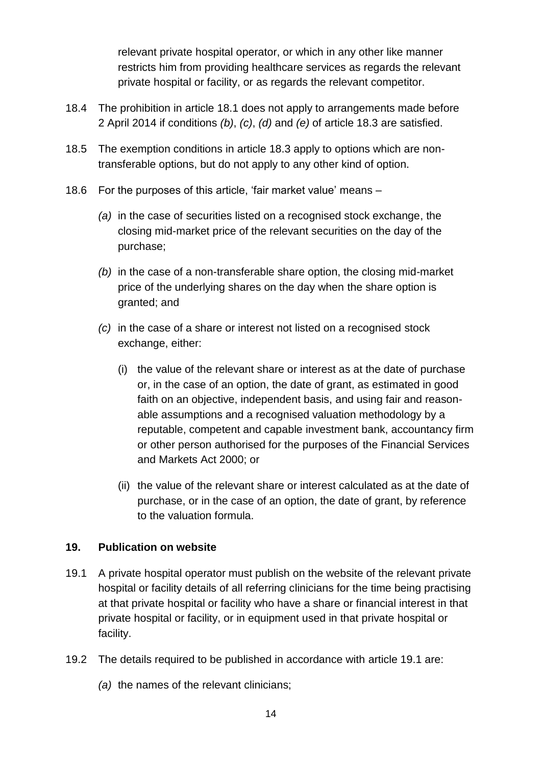relevant private hospital operator, or which in any other like manner restricts him from providing healthcare services as regards the relevant private hospital or facility, or as regards the relevant competitor.

- 18.4 The prohibition in article 18.1 does not apply to arrangements made before 2 April 2014 if conditions *(b)*, *(c)*, *(d)* and *(e)* of article 18.3 are satisfied.
- 18.5 The exemption conditions in article 18.3 apply to options which are nontransferable options, but do not apply to any other kind of option.
- 18.6 For the purposes of this article, 'fair market value' means
	- *(a)* in the case of securities listed on a recognised stock exchange, the closing mid-market price of the relevant securities on the day of the purchase;
	- *(b)* in the case of a non-transferable share option, the closing mid-market price of the underlying shares on the day when the share option is granted; and
	- *(c)* in the case of a share or interest not listed on a recognised stock exchange, either:
		- (i) the value of the relevant share or interest as at the date of purchase or, in the case of an option, the date of grant, as estimated in good faith on an objective, independent basis, and using fair and reasonable assumptions and a recognised valuation methodology by a reputable, competent and capable investment bank, accountancy firm or other person authorised for the purposes of the Financial Services and Markets Act 2000; or
		- (ii) the value of the relevant share or interest calculated as at the date of purchase, or in the case of an option, the date of grant, by reference to the valuation formula.

# **19. Publication on website**

- 19.1 A private hospital operator must publish on the website of the relevant private hospital or facility details of all referring clinicians for the time being practising at that private hospital or facility who have a share or financial interest in that private hospital or facility, or in equipment used in that private hospital or facility.
- 19.2 The details required to be published in accordance with article 19.1 are:
	- *(a)* the names of the relevant clinicians;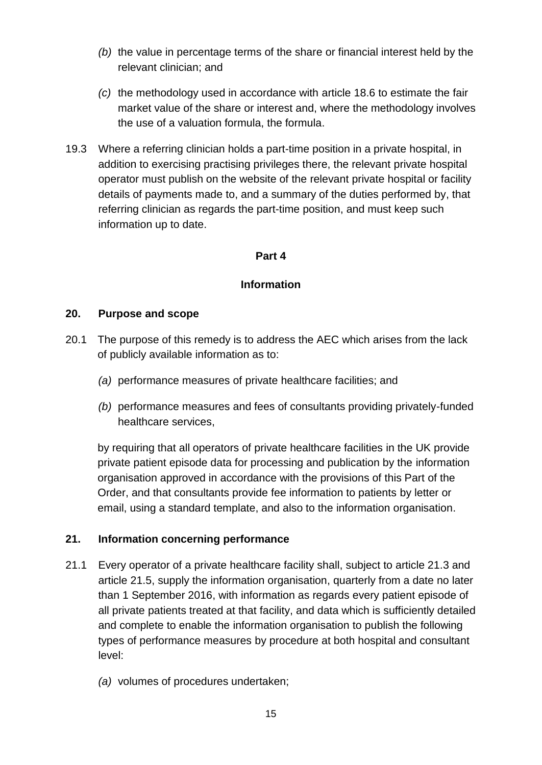- *(b)* the value in percentage terms of the share or financial interest held by the relevant clinician; and
- *(c)* the methodology used in accordance with article 18.6 to estimate the fair market value of the share or interest and, where the methodology involves the use of a valuation formula, the formula.
- 19.3 Where a referring clinician holds a part-time position in a private hospital, in addition to exercising practising privileges there, the relevant private hospital operator must publish on the website of the relevant private hospital or facility details of payments made to, and a summary of the duties performed by, that referring clinician as regards the part-time position, and must keep such information up to date.

### **Part 4**

### **Information**

### **20. Purpose and scope**

- 20.1 The purpose of this remedy is to address the AEC which arises from the lack of publicly available information as to:
	- *(a)* performance measures of private healthcare facilities; and
	- *(b)* performance measures and fees of consultants providing privately-funded healthcare services,

by requiring that all operators of private healthcare facilities in the UK provide private patient episode data for processing and publication by the information organisation approved in accordance with the provisions of this Part of the Order, and that consultants provide fee information to patients by letter or email, using a standard template, and also to the information organisation.

# **21. Information concerning performance**

- 21.1 Every operator of a private healthcare facility shall, subject to article 21.3 and article 21.5, supply the information organisation, quarterly from a date no later than 1 September 2016, with information as regards every patient episode of all private patients treated at that facility, and data which is sufficiently detailed and complete to enable the information organisation to publish the following types of performance measures by procedure at both hospital and consultant level:
	- *(a)* volumes of procedures undertaken;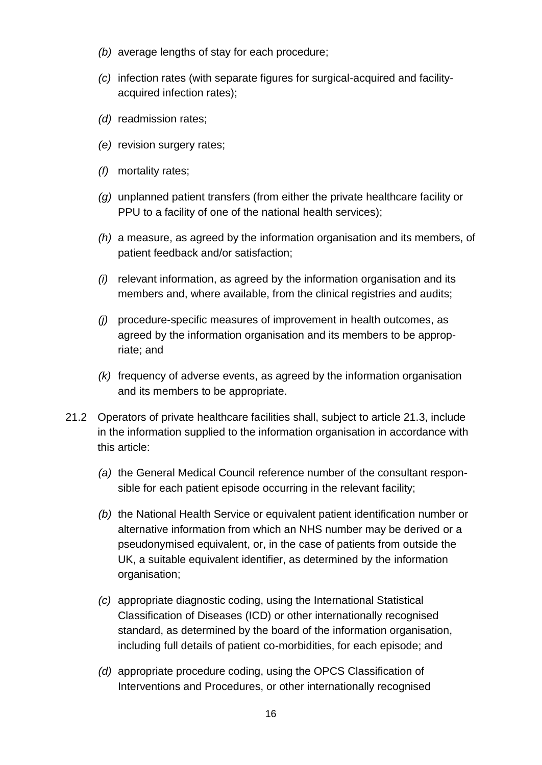- *(b)* average lengths of stay for each procedure;
- *(c)* infection rates (with separate figures for surgical-acquired and facilityacquired infection rates);
- *(d)* readmission rates;
- *(e)* revision surgery rates;
- *(f)* mortality rates;
- *(g)* unplanned patient transfers (from either the private healthcare facility or PPU to a facility of one of the national health services);
- *(h)* a measure, as agreed by the information organisation and its members, of patient feedback and/or satisfaction;
- *(i)* relevant information, as agreed by the information organisation and its members and, where available, from the clinical registries and audits;
- *(j)* procedure-specific measures of improvement in health outcomes, as agreed by the information organisation and its members to be appropriate; and
- *(k)* frequency of adverse events, as agreed by the information organisation and its members to be appropriate.
- 21.2 Operators of private healthcare facilities shall, subject to article 21.3, include in the information supplied to the information organisation in accordance with this article:
	- *(a)* the General Medical Council reference number of the consultant responsible for each patient episode occurring in the relevant facility;
	- *(b)* the National Health Service or equivalent patient identification number or alternative information from which an NHS number may be derived or a pseudonymised equivalent, or, in the case of patients from outside the UK, a suitable equivalent identifier, as determined by the information organisation;
	- *(c)* appropriate diagnostic coding, using the International Statistical Classification of Diseases (ICD) or other internationally recognised standard, as determined by the board of the information organisation, including full details of patient co-morbidities, for each episode; and
	- *(d)* appropriate procedure coding, using the OPCS Classification of Interventions and Procedures, or other internationally recognised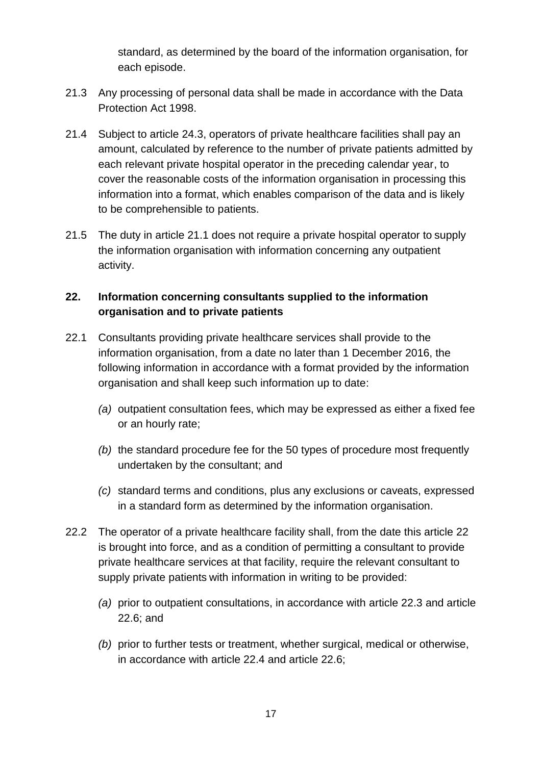standard, as determined by the board of the information organisation, for each episode.

- 21.3 Any processing of personal data shall be made in accordance with the Data Protection Act 1998.
- 21.4 Subject to article 24.3, operators of private healthcare facilities shall pay an amount, calculated by reference to the number of private patients admitted by each relevant private hospital operator in the preceding calendar year, to cover the reasonable costs of the information organisation in processing this information into a format, which enables comparison of the data and is likely to be comprehensible to patients.
- 21.5 The duty in article 21.1 does not require a private hospital operator to supply the information organisation with information concerning any outpatient activity.

# **22. Information concerning consultants supplied to the information organisation and to private patients**

- 22.1 Consultants providing private healthcare services shall provide to the information organisation, from a date no later than 1 December 2016, the following information in accordance with a format provided by the information organisation and shall keep such information up to date:
	- *(a)* outpatient consultation fees, which may be expressed as either a fixed fee or an hourly rate;
	- *(b)* the standard procedure fee for the 50 types of procedure most frequently undertaken by the consultant; and
	- *(c)* standard terms and conditions, plus any exclusions or caveats, expressed in a standard form as determined by the information organisation.
- 22.2 The operator of a private healthcare facility shall, from the date this article 22 is brought into force, and as a condition of permitting a consultant to provide private healthcare services at that facility, require the relevant consultant to supply private patients with information in writing to be provided:
	- *(a)* prior to outpatient consultations, in accordance with article 22.3 and article 22.6; and
	- *(b)* prior to further tests or treatment, whether surgical, medical or otherwise, in accordance with article 22.4 and article 22.6;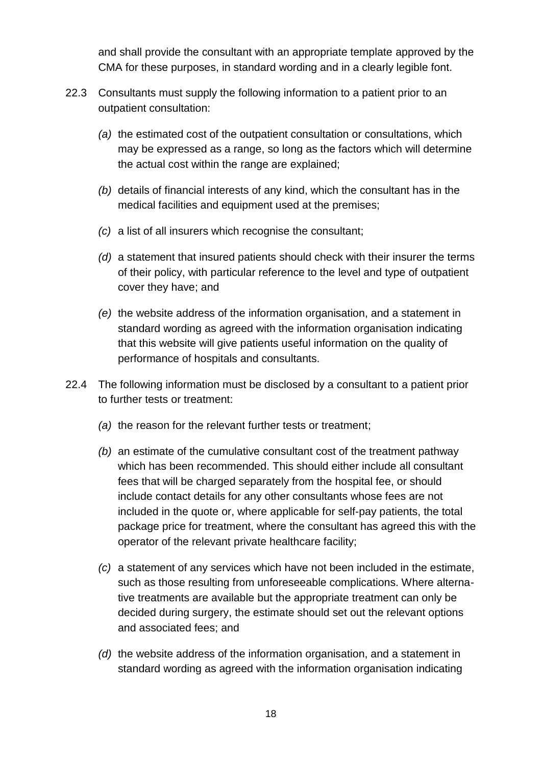and shall provide the consultant with an appropriate template approved by the CMA for these purposes, in standard wording and in a clearly legible font.

- 22.3 Consultants must supply the following information to a patient prior to an outpatient consultation:
	- *(a)* the estimated cost of the outpatient consultation or consultations, which may be expressed as a range, so long as the factors which will determine the actual cost within the range are explained;
	- *(b)* details of financial interests of any kind, which the consultant has in the medical facilities and equipment used at the premises;
	- *(c)* a list of all insurers which recognise the consultant;
	- *(d)* a statement that insured patients should check with their insurer the terms of their policy, with particular reference to the level and type of outpatient cover they have; and
	- *(e)* the website address of the information organisation, and a statement in standard wording as agreed with the information organisation indicating that this website will give patients useful information on the quality of performance of hospitals and consultants.
- 22.4 The following information must be disclosed by a consultant to a patient prior to further tests or treatment:
	- *(a)* the reason for the relevant further tests or treatment;
	- *(b)* an estimate of the cumulative consultant cost of the treatment pathway which has been recommended. This should either include all consultant fees that will be charged separately from the hospital fee, or should include contact details for any other consultants whose fees are not included in the quote or, where applicable for self-pay patients, the total package price for treatment, where the consultant has agreed this with the operator of the relevant private healthcare facility;
	- *(c)* a statement of any services which have not been included in the estimate, such as those resulting from unforeseeable complications. Where alternative treatments are available but the appropriate treatment can only be decided during surgery, the estimate should set out the relevant options and associated fees; and
	- *(d)* the website address of the information organisation, and a statement in standard wording as agreed with the information organisation indicating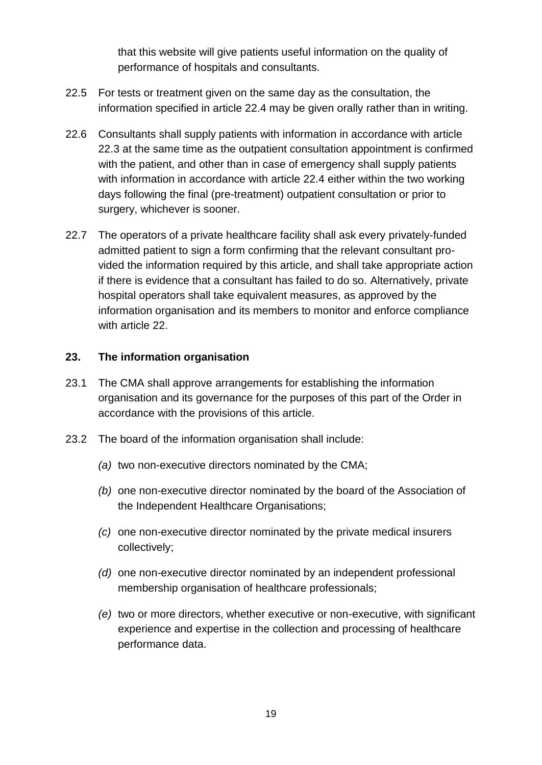that this website will give patients useful information on the quality of performance of hospitals and consultants.

- 22.5 For tests or treatment given on the same day as the consultation, the information specified in article 22.4 may be given orally rather than in writing.
- 22.6 Consultants shall supply patients with information in accordance with article 22.3 at the same time as the outpatient consultation appointment is confirmed with the patient, and other than in case of emergency shall supply patients with information in accordance with article 22.4 either within the two working days following the final (pre-treatment) outpatient consultation or prior to surgery, whichever is sooner.
- 22.7 The operators of a private healthcare facility shall ask every privately-funded admitted patient to sign a form confirming that the relevant consultant provided the information required by this article, and shall take appropriate action if there is evidence that a consultant has failed to do so. Alternatively, private hospital operators shall take equivalent measures, as approved by the information organisation and its members to monitor and enforce compliance with article 22.

### **23. The information organisation**

- 23.1 The CMA shall approve arrangements for establishing the information organisation and its governance for the purposes of this part of the Order in accordance with the provisions of this article.
- 23.2 The board of the information organisation shall include:
	- *(a)* two non-executive directors nominated by the CMA;
	- *(b)* one non-executive director nominated by the board of the Association of the Independent Healthcare Organisations;
	- *(c)* one non-executive director nominated by the private medical insurers collectively;
	- *(d)* one non-executive director nominated by an independent professional membership organisation of healthcare professionals;
	- *(e)* two or more directors, whether executive or non-executive, with significant experience and expertise in the collection and processing of healthcare performance data.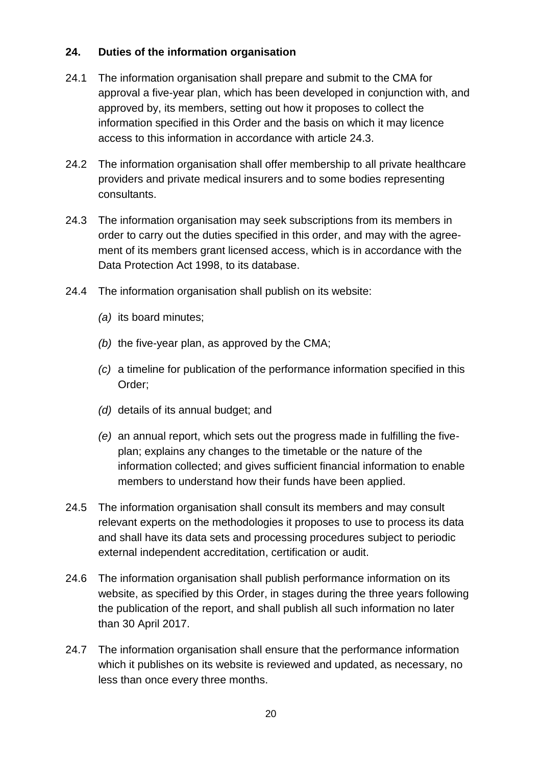# **24. Duties of the information organisation**

- 24.1 The information organisation shall prepare and submit to the CMA for approval a five-year plan, which has been developed in conjunction with, and approved by, its members, setting out how it proposes to collect the information specified in this Order and the basis on which it may licence access to this information in accordance with article 24.3.
- 24.2 The information organisation shall offer membership to all private healthcare providers and private medical insurers and to some bodies representing consultants.
- 24.3 The information organisation may seek subscriptions from its members in order to carry out the duties specified in this order, and may with the agreement of its members grant licensed access, which is in accordance with the Data Protection Act 1998, to its database.
- 24.4 The information organisation shall publish on its website:
	- *(a)* its board minutes;
	- *(b)* the five-year plan, as approved by the CMA;
	- *(c)* a timeline for publication of the performance information specified in this Order;
	- *(d)* details of its annual budget; and
	- *(e)* an annual report, which sets out the progress made in fulfilling the fiveplan; explains any changes to the timetable or the nature of the information collected; and gives sufficient financial information to enable members to understand how their funds have been applied.
- 24.5 The information organisation shall consult its members and may consult relevant experts on the methodologies it proposes to use to process its data and shall have its data sets and processing procedures subject to periodic external independent accreditation, certification or audit.
- 24.6 The information organisation shall publish performance information on its website, as specified by this Order, in stages during the three years following the publication of the report, and shall publish all such information no later than 30 April 2017.
- 24.7 The information organisation shall ensure that the performance information which it publishes on its website is reviewed and updated, as necessary, no less than once every three months.